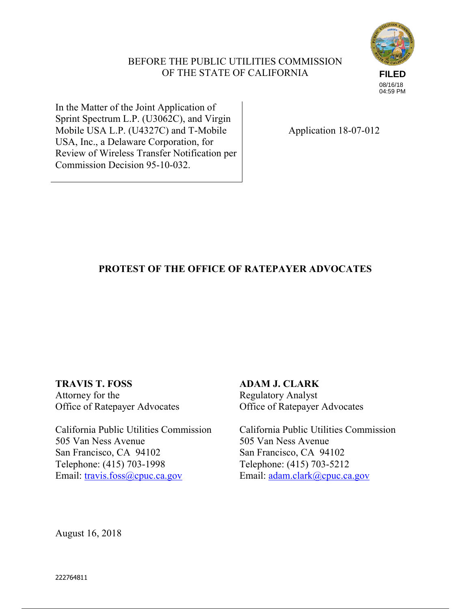# BEFORE THE PUBLIC UTILITIES COMMISSION OF THE STATE OF CALIFORNIA



In the Matter of the Joint Application of Sprint Spectrum L.P. (U3062C), and Virgin Mobile USA L.P. (U4327C) and T-Mobile USA, Inc., a Delaware Corporation, for Review of Wireless Transfer Notification per Commission Decision 95-10-032.

Application 18-07-012

# **PROTEST OF THE OFFICE OF RATEPAYER ADVOCATES**

**TRAVIS T. FOSS**  Attorney for the Office of Ratepayer Advocates

California Public Utilities Commission 505 Van Ness Avenue San Francisco, CA 94102 Telephone: (415) 703-1998 Email: travis.foss@cpuc.ca.gov

**ADAM J. CLARK**  Regulatory Analyst Office of Ratepayer Advocates

California Public Utilities Commission 505 Van Ness Avenue San Francisco, CA 94102 Telephone: (415) 703-5212 Email: adam.clark@cpuc.ca.gov

August 16, 2018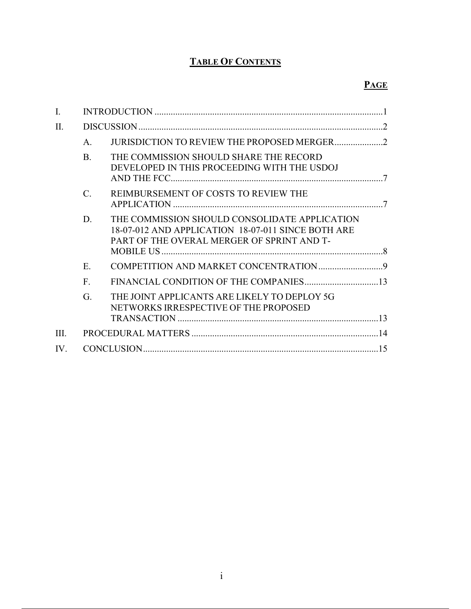# **TABLE OF CONTENTS**

# **PAGE**

| $\mathbf{I}$ .          |                 |                                                                                                                                                   |  |
|-------------------------|-----------------|---------------------------------------------------------------------------------------------------------------------------------------------------|--|
| II.                     |                 |                                                                                                                                                   |  |
|                         | $\mathsf{A}$    |                                                                                                                                                   |  |
|                         | $\bf{B}$        | THE COMMISSION SHOULD SHARE THE RECORD<br>DEVELOPED IN THIS PROCEEDING WITH THE USDOJ                                                             |  |
|                         | $\mathcal{C}$ . | REIMBURSEMENT OF COSTS TO REVIEW THE                                                                                                              |  |
|                         | D.              | THE COMMISSION SHOULD CONSOLIDATE APPLICATION<br>18-07-012 AND APPLICATION 18-07-011 SINCE BOTH ARE<br>PART OF THE OVERAL MERGER OF SPRINT AND T- |  |
|                         | E.              |                                                                                                                                                   |  |
|                         | $F_{\cdot}$     |                                                                                                                                                   |  |
|                         | G.              | THE JOINT APPLICANTS ARE LIKELY TO DEPLOY 5G<br>NETWORKS IRRESPECTIVE OF THE PROPOSED                                                             |  |
|                         |                 |                                                                                                                                                   |  |
| III                     |                 |                                                                                                                                                   |  |
| $\mathbf{I} \mathbf{V}$ |                 |                                                                                                                                                   |  |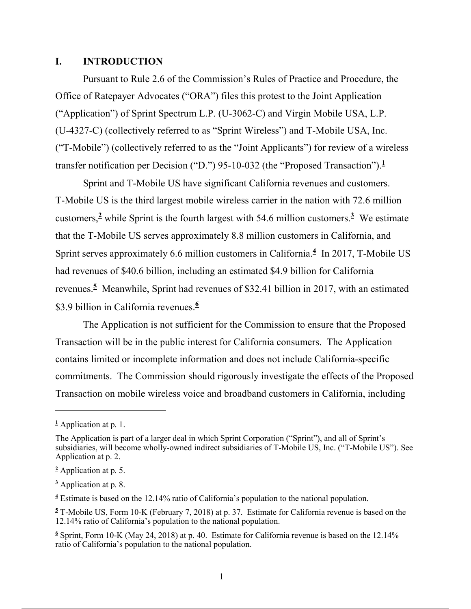#### **I. INTRODUCTION**

Pursuant to Rule 2.6 of the Commission's Rules of Practice and Procedure, the Office of Ratepayer Advocates ("ORA") files this protest to the Joint Application ("Application") of Sprint Spectrum L.P. (U-3062-C) and Virgin Mobile USA, L.P. (U-4327-C) (collectively referred to as "Sprint Wireless") and T-Mobile USA, Inc. ("T-Mobile") (collectively referred to as the "Joint Applicants") for review of a wireless transfer notification per Decision ("D.") 95-10-032 (the "Proposed Transaction").**<sup>1</sup>**

Sprint and T-Mobile US have significant California revenues and customers. T-Mobile US is the third largest mobile wireless carrier in the nation with 72.6 million customers,**<sup>2</sup>** while Sprint is the fourth largest with 54.6 million customers.**<sup>3</sup>** We estimate that the T-Mobile US serves approximately 8.8 million customers in California, and Sprint serves approximately 6.6 million customers in California.**<sup>4</sup>** In 2017, T-Mobile US had revenues of \$40.6 billion, including an estimated \$4.9 billion for California revenues.**<sup>5</sup>** Meanwhile, Sprint had revenues of \$32.41 billion in 2017, with an estimated \$3.9 billion in California revenues.**<sup>6</sup>**

The Application is not sufficient for the Commission to ensure that the Proposed Transaction will be in the public interest for California consumers. The Application contains limited or incomplete information and does not include California-specific commitments. The Commission should rigorously investigate the effects of the Proposed Transaction on mobile wireless voice and broadband customers in California, including

**<sup>1</sup>** Application at p. 1.

The Application is part of a larger deal in which Sprint Corporation ("Sprint"), and all of Sprint's subsidiaries, will become wholly-owned indirect subsidiaries of T-Mobile US, Inc. ("T-Mobile US"). See Application at p. 2.

**<sup>2</sup>** Application at p. 5.

**<sup>3</sup>** Application at p. 8.

**<sup>4</sup>** Estimate is based on the 12.14% ratio of California's population to the national population.

**<sup>5</sup>** T-Mobile US, Form 10-K (February 7, 2018) at p. 37. Estimate for California revenue is based on the 12.14% ratio of California's population to the national population.

**<sup>6</sup>** Sprint, Form 10-K (May 24, 2018) at p. 40. Estimate for California revenue is based on the 12.14% ratio of California's population to the national population.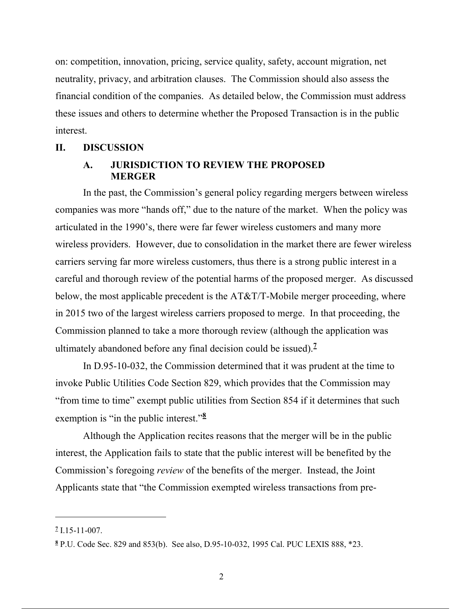on: competition, innovation, pricing, service quality, safety, account migration, net neutrality, privacy, and arbitration clauses. The Commission should also assess the financial condition of the companies. As detailed below, the Commission must address these issues and others to determine whether the Proposed Transaction is in the public interest.

#### **II. DISCUSSION**

#### **A. JURISDICTION TO REVIEW THE PROPOSED MERGER**

In the past, the Commission's general policy regarding mergers between wireless companies was more "hands off," due to the nature of the market. When the policy was articulated in the 1990's, there were far fewer wireless customers and many more wireless providers. However, due to consolidation in the market there are fewer wireless carriers serving far more wireless customers, thus there is a strong public interest in a careful and thorough review of the potential harms of the proposed merger. As discussed below, the most applicable precedent is the AT&T/T-Mobile merger proceeding, where in 2015 two of the largest wireless carriers proposed to merge. In that proceeding, the Commission planned to take a more thorough review (although the application was ultimately abandoned before any final decision could be issued).**<sup>7</sup>**

In D.95-10-032, the Commission determined that it was prudent at the time to invoke Public Utilities Code Section 829, which provides that the Commission may "from time to time" exempt public utilities from Section 854 if it determines that such exemption is "in the public interest."**<sup>8</sup>**

Although the Application recites reasons that the merger will be in the public interest, the Application fails to state that the public interest will be benefited by the Commission's foregoing *review* of the benefits of the merger. Instead, the Joint Applicants state that "the Commission exempted wireless transactions from pre-

**<sup>7</sup>** I.15-11-007.

**<sup>8</sup>** P.U. Code Sec. 829 and 853(b). See also, D.95-10-032, 1995 Cal. PUC LEXIS 888, \*23.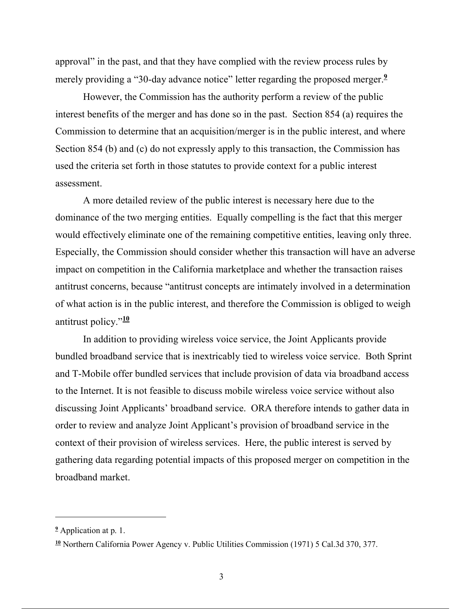approval" in the past, and that they have complied with the review process rules by merely providing a "30-day advance notice" letter regarding the proposed merger.<sup>9</sup>

However, the Commission has the authority perform a review of the public interest benefits of the merger and has done so in the past. Section 854 (a) requires the Commission to determine that an acquisition/merger is in the public interest, and where Section 854 (b) and (c) do not expressly apply to this transaction, the Commission has used the criteria set forth in those statutes to provide context for a public interest assessment.

A more detailed review of the public interest is necessary here due to the dominance of the two merging entities. Equally compelling is the fact that this merger would effectively eliminate one of the remaining competitive entities, leaving only three. Especially, the Commission should consider whether this transaction will have an adverse impact on competition in the California marketplace and whether the transaction raises antitrust concerns, because "antitrust concepts are intimately involved in a determination of what action is in the public interest, and therefore the Commission is obliged to weigh antitrust policy."**<sup>10</sup>**

In addition to providing wireless voice service, the Joint Applicants provide bundled broadband service that is inextricably tied to wireless voice service. Both Sprint and T-Mobile offer bundled services that include provision of data via broadband access to the Internet. It is not feasible to discuss mobile wireless voice service without also discussing Joint Applicants' broadband service. ORA therefore intends to gather data in order to review and analyze Joint Applicant's provision of broadband service in the context of their provision of wireless services. Here, the public interest is served by gathering data regarding potential impacts of this proposed merger on competition in the broadband market.

**<sup>9</sup>** Application at p. 1.

**<sup>10</sup>** Northern California Power Agency v. Public Utilities Commission (1971) 5 Cal.3d 370, 377.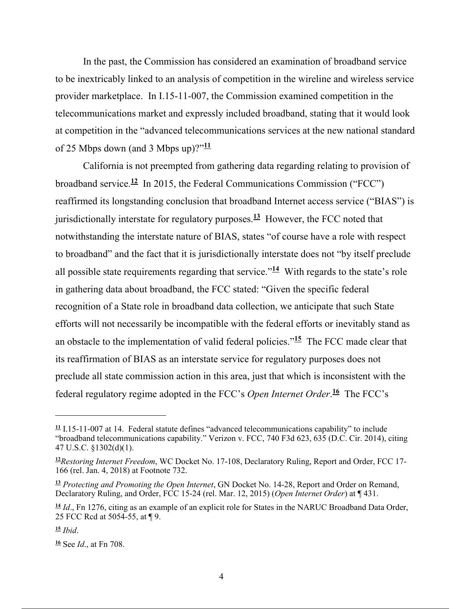In the past, the Commission has considered an examination of broadband service to be inextricably linked to an analysis of competition in the wireline and wireless service provider marketplace. In I.15-11-007, the Commission examined competition in the telecommunications market and expressly included broadband, stating that it would look at competition in the "advanced telecommunications services at the new national standard of 25 Mbps down (and 3 Mbps up)?"**<sup>11</sup>**

California is not preempted from gathering data regarding relating to provision of broadband service.**<sup>12</sup>** In 2015, the Federal Communications Commission ("FCC") reaffirmed its longstanding conclusion that broadband Internet access service ("BIAS") is jurisdictionally interstate for regulatory purposes. **<sup>13</sup>** However, the FCC noted that notwithstanding the interstate nature of BIAS, states "of course have a role with respect to broadband" and the fact that it is jurisdictionally interstate does not "by itself preclude all possible state requirements regarding that service."**<sup>14</sup>** With regards to the state's role in gathering data about broadband, the FCC stated: "Given the specific federal recognition of a State role in broadband data collection, we anticipate that such State efforts will not necessarily be incompatible with the federal efforts or inevitably stand as an obstacle to the implementation of valid federal policies."**<sup>15</sup>** The FCC made clear that its reaffirmation of BIAS as an interstate service for regulatory purposes does not preclude all state commission action in this area, just that which is inconsistent with the federal regulatory regime adopted in the FCC's *Open Internet Order*. **<sup>16</sup>** The FCC's

**<sup>11</sup>** I.15-11-007 at 14. Federal statute defines "advanced telecommunications capability" to include "broadband telecommunications capability." Verizon v. FCC, 740 F3d 623, 635 (D.C. Cir. 2014), citing 47 U.S.C. §1302(d)(1).

**<sup>12</sup>***Restoring Internet Freedom*, WC Docket No. 17-108, Declaratory Ruling, Report and Order, FCC 17- 166 (rel. Jan. 4, 2018) at Footnote 732.

**<sup>13</sup>** *Protecting and Promoting the Open Internet*, GN Docket No. 14-28, Report and Order on Remand, Declaratory Ruling, and Order, FCC 15-24 (rel. Mar. 12, 2015) (*Open Internet Order*) at ¶ 431.

**<sup>14</sup>** *Id*., Fn 1276, citing as an example of an explicit role for States in the NARUC Broadband Data Order, 25 FCC Rcd at 5054-55, at ¶ 9.

**<sup>15</sup>** *Ibid*.

**<sup>16</sup>** See *Id*., at Fn 708.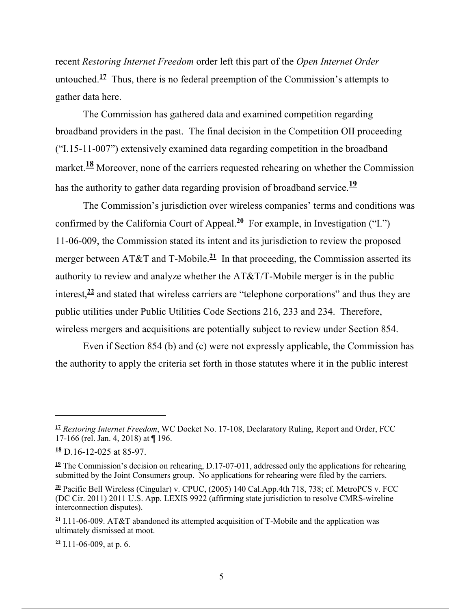recent *Restoring Internet Freedom* order left this part of the *Open Internet Order* untouched.<sup>17</sup> Thus, there is no federal preemption of the Commission's attempts to gather data here.

The Commission has gathered data and examined competition regarding broadband providers in the past. The final decision in the Competition OII proceeding ("I.15-11-007") extensively examined data regarding competition in the broadband market.<sup>18</sup> Moreover, none of the carriers requested rehearing on whether the Commission has the authority to gather data regarding provision of broadband service.**<sup>19</sup>**

The Commission's jurisdiction over wireless companies' terms and conditions was confirmed by the California Court of Appeal.**<sup>20</sup>** For example, in Investigation ("I.") 11-06-009, the Commission stated its intent and its jurisdiction to review the proposed merger between AT&T and T-Mobile.<sup>21</sup> In that proceeding, the Commission asserted its authority to review and analyze whether the AT&T/T-Mobile merger is in the public interest,**<sup>22</sup>** and stated that wireless carriers are "telephone corporations" and thus they are public utilities under Public Utilities Code Sections 216, 233 and 234. Therefore, wireless mergers and acquisitions are potentially subject to review under Section 854.

Even if Section 854 (b) and (c) were not expressly applicable, the Commission has the authority to apply the criteria set forth in those statutes where it in the public interest

-

**<sup>22</sup>** I.11-06-009, at p. 6.

**<sup>17</sup>** *Restoring Internet Freedom*, WC Docket No. 17-108, Declaratory Ruling, Report and Order, FCC 17-166 (rel. Jan. 4, 2018) at ¶ 196.

**<sup>18</sup>** D.16-12-025 at 85-97.

<sup>&</sup>lt;sup>19</sup> The Commission's decision on rehearing, D.17-07-011, addressed only the applications for rehearing submitted by the Joint Consumers group. No applications for rehearing were filed by the carriers.

**<sup>20</sup>** Pacific Bell Wireless (Cingular) v. CPUC, (2005) 140 Cal.App.4th 718, 738; cf. MetroPCS v. FCC (DC Cir. 2011) 2011 U.S. App. LEXIS 9922 (affirming state jurisdiction to resolve CMRS-wireline interconnection disputes).

**<sup>21</sup>** I.11-06-009. AT&T abandoned its attempted acquisition of T-Mobile and the application was ultimately dismissed at moot.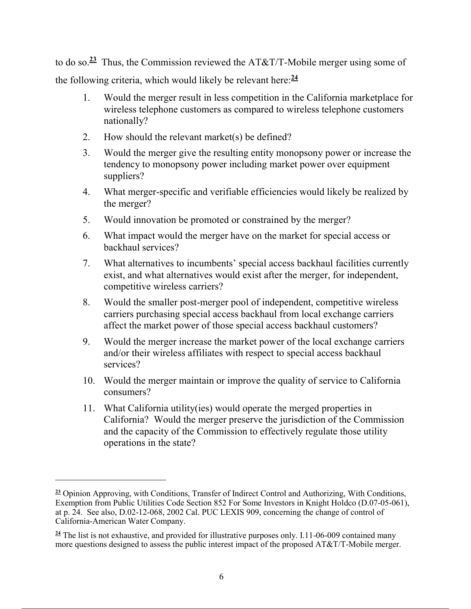to do so.**<sup>23</sup>** Thus, the Commission reviewed the AT&T/T-Mobile merger using some of the following criteria, which would likely be relevant here:**<sup>24</sup>**

- 1. Would the merger result in less competition in the California marketplace for wireless telephone customers as compared to wireless telephone customers nationally?
- 2. How should the relevant market(s) be defined?
- 3. Would the merger give the resulting entity monopsony power or increase the tendency to monopsony power including market power over equipment suppliers?
- 4. What merger-specific and verifiable efficiencies would likely be realized by the merger?
- 5. Would innovation be promoted or constrained by the merger?
- 6. What impact would the merger have on the market for special access or backhaul services?
- 7. What alternatives to incumbents' special access backhaul facilities currently exist, and what alternatives would exist after the merger, for independent, competitive wireless carriers?
- 8. Would the smaller post-merger pool of independent, competitive wireless carriers purchasing special access backhaul from local exchange carriers affect the market power of those special access backhaul customers?
- 9. Would the merger increase the market power of the local exchange carriers and/or their wireless affiliates with respect to special access backhaul services?
- 10. Would the merger maintain or improve the quality of service to California consumers?
- 11. What California utility(ies) would operate the merged properties in California? Would the merger preserve the jurisdiction of the Commission and the capacity of the Commission to effectively regulate those utility operations in the state?

**<sup>23</sup>** Opinion Approving, with Conditions, Transfer of Indirect Control and Authorizing, With Conditions, Exemption from Public Utilities Code Section 852 For Some Investors in Knight Holdco (D.07-05-061), at p. 24. See also, D.02-12-068, 2002 Cal. PUC LEXIS 909, concerning the change of control of California-American Water Company.

**<sup>24</sup>** The list is not exhaustive, and provided for illustrative purposes only. I.11-06-009 contained many more questions designed to assess the public interest impact of the proposed AT&T/T-Mobile merger.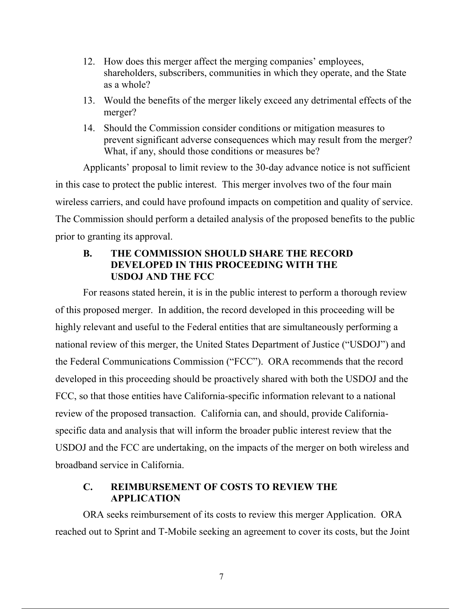- 12. How does this merger affect the merging companies' employees, shareholders, subscribers, communities in which they operate, and the State as a whole?
- 13. Would the benefits of the merger likely exceed any detrimental effects of the merger?
- 14. Should the Commission consider conditions or mitigation measures to prevent significant adverse consequences which may result from the merger? What, if any, should those conditions or measures be?

Applicants' proposal to limit review to the 30-day advance notice is not sufficient in this case to protect the public interest. This merger involves two of the four main wireless carriers, and could have profound impacts on competition and quality of service. The Commission should perform a detailed analysis of the proposed benefits to the public prior to granting its approval.

# **B. THE COMMISSION SHOULD SHARE THE RECORD DEVELOPED IN THIS PROCEEDING WITH THE USDOJ AND THE FCC**

For reasons stated herein, it is in the public interest to perform a thorough review of this proposed merger. In addition, the record developed in this proceeding will be highly relevant and useful to the Federal entities that are simultaneously performing a national review of this merger, the United States Department of Justice ("USDOJ") and the Federal Communications Commission ("FCC"). ORA recommends that the record developed in this proceeding should be proactively shared with both the USDOJ and the FCC, so that those entities have California-specific information relevant to a national review of the proposed transaction. California can, and should, provide Californiaspecific data and analysis that will inform the broader public interest review that the USDOJ and the FCC are undertaking, on the impacts of the merger on both wireless and broadband service in California.

# **C. REIMBURSEMENT OF COSTS TO REVIEW THE APPLICATION**

ORA seeks reimbursement of its costs to review this merger Application. ORA reached out to Sprint and T-Mobile seeking an agreement to cover its costs, but the Joint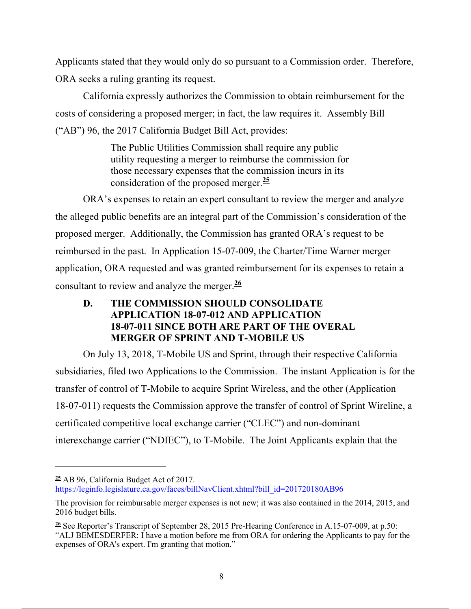Applicants stated that they would only do so pursuant to a Commission order. Therefore, ORA seeks a ruling granting its request.

California expressly authorizes the Commission to obtain reimbursement for the costs of considering a proposed merger; in fact, the law requires it. Assembly Bill ("AB") 96, the 2017 California Budget Bill Act, provides:

> The Public Utilities Commission shall require any public utility requesting a merger to reimburse the commission for those necessary expenses that the commission incurs in its consideration of the proposed merger.**<sup>25</sup>**

ORA's expenses to retain an expert consultant to review the merger and analyze the alleged public benefits are an integral part of the Commission's consideration of the proposed merger. Additionally, the Commission has granted ORA's request to be reimbursed in the past. In Application 15-07-009, the Charter/Time Warner merger application, ORA requested and was granted reimbursement for its expenses to retain a consultant to review and analyze the merger.**<sup>26</sup>**

# **D. THE COMMISSION SHOULD CONSOLIDATE APPLICATION 18-07-012 AND APPLICATION 18-07-011 SINCE BOTH ARE PART OF THE OVERAL MERGER OF SPRINT AND T-MOBILE US**

On July 13, 2018, T-Mobile US and Sprint, through their respective California subsidiaries, filed two Applications to the Commission. The instant Application is for the transfer of control of T-Mobile to acquire Sprint Wireless, and the other (Application 18-07-011) requests the Commission approve the transfer of control of Sprint Wireline, a certificated competitive local exchange carrier ("CLEC") and non-dominant interexchange carrier ("NDIEC"), to T-Mobile. The Joint Applicants explain that the

**<sup>25</sup>** AB 96, California Budget Act of 2017. https://leginfo.legislature.ca.gov/faces/billNavClient.xhtml?bill\_id=201720180AB96

The provision for reimbursable merger expenses is not new; it was also contained in the 2014, 2015, and 2016 budget bills.

**<sup>26</sup>** See Reporter's Transcript of September 28, 2015 Pre-Hearing Conference in A.15-07-009, at p.50: "ALJ BEMESDERFER: I have a motion before me from ORA for ordering the Applicants to pay for the expenses of ORA's expert. I'm granting that motion."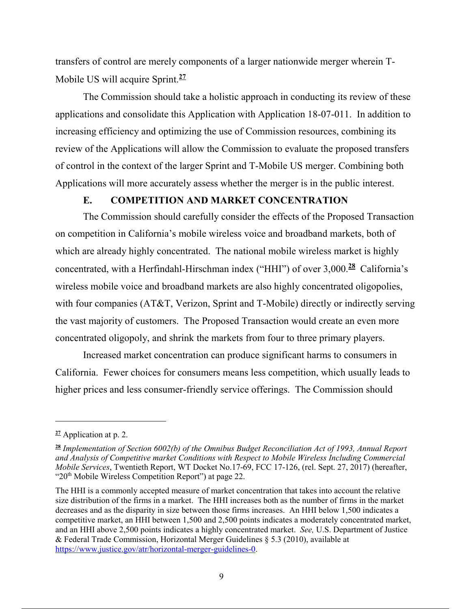transfers of control are merely components of a larger nationwide merger wherein T-Mobile US will acquire Sprint.**<sup>27</sup>**

The Commission should take a holistic approach in conducting its review of these applications and consolidate this Application with Application 18-07-011. In addition to increasing efficiency and optimizing the use of Commission resources, combining its review of the Applications will allow the Commission to evaluate the proposed transfers of control in the context of the larger Sprint and T-Mobile US merger. Combining both Applications will more accurately assess whether the merger is in the public interest.

#### **E. COMPETITION AND MARKET CONCENTRATION**

The Commission should carefully consider the effects of the Proposed Transaction on competition in California's mobile wireless voice and broadband markets, both of which are already highly concentrated. The national mobile wireless market is highly concentrated, with a Herfindahl-Hirschman index ("HHI") of over 3,000.**<sup>28</sup>** California's wireless mobile voice and broadband markets are also highly concentrated oligopolies, with four companies (AT&T, Verizon, Sprint and T-Mobile) directly or indirectly serving the vast majority of customers. The Proposed Transaction would create an even more concentrated oligopoly, and shrink the markets from four to three primary players.

Increased market concentration can produce significant harms to consumers in California. Fewer choices for consumers means less competition, which usually leads to higher prices and less consumer-friendly service offerings. The Commission should

**<sup>27</sup>** Application at p. 2.

**<sup>28</sup>** *Implementation of Section 6002(b) of the Omnibus Budget Reconciliation Act of 1993, Annual Report and Analysis of Competitive market Conditions with Respect to Mobile Wireless Including Commercial Mobile Services*, Twentieth Report, WT Docket No.17-69, FCC 17-126, (rel. Sept. 27, 2017) (hereafter, "20<sup>th</sup> Mobile Wireless Competition Report") at page 22.

The HHI is a commonly accepted measure of market concentration that takes into account the relative size distribution of the firms in a market. The HHI increases both as the number of firms in the market decreases and as the disparity in size between those firms increases. An HHI below 1,500 indicates a competitive market, an HHI between 1,500 and 2,500 points indicates a moderately concentrated market, and an HHI above 2,500 points indicates a highly concentrated market. *See,* U.S. Department of Justice & Federal Trade Commission, Horizontal Merger Guidelines § 5.3 (2010), available at https://www.justice.gov/atr/horizontal-merger-guidelines-0.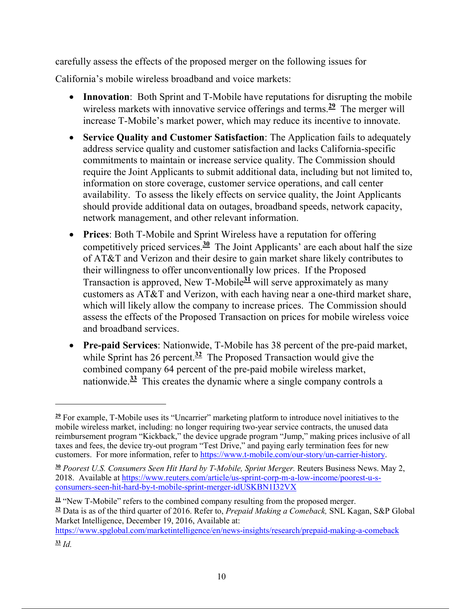carefully assess the effects of the proposed merger on the following issues for California's mobile wireless broadband and voice markets:

- **Innovation**: Both Sprint and T-Mobile have reputations for disrupting the mobile wireless markets with innovative service offerings and terms.**<sup>29</sup>** The merger will increase T-Mobile's market power, which may reduce its incentive to innovate.
- **Service Quality and Customer Satisfaction**: The Application fails to adequately address service quality and customer satisfaction and lacks California-specific commitments to maintain or increase service quality. The Commission should require the Joint Applicants to submit additional data, including but not limited to, information on store coverage, customer service operations, and call center availability. To assess the likely effects on service quality, the Joint Applicants should provide additional data on outages, broadband speeds, network capacity, network management, and other relevant information.
- **Prices**: Both T-Mobile and Sprint Wireless have a reputation for offering competitively priced services.**<sup>30</sup>** The Joint Applicants' are each about half the size of AT&T and Verizon and their desire to gain market share likely contributes to their willingness to offer unconventionally low prices. If the Proposed Transaction is approved, New T-Mobile**<sup>31</sup>** will serve approximately as many customers as AT&T and Verizon, with each having near a one-third market share, which will likely allow the company to increase prices. The Commission should assess the effects of the Proposed Transaction on prices for mobile wireless voice and broadband services.
- **Pre-paid Services**: Nationwide, T-Mobile has 38 percent of the pre-paid market, while Sprint has 26 percent.<sup> $32$ </sup> The Proposed Transaction would give the combined company 64 percent of the pre-paid mobile wireless market, nationwide.**<sup>33</sup>** This creates the dynamic where a single company controls a

**<sup>29</sup>** For example, T-Mobile uses its "Uncarrier" marketing platform to introduce novel initiatives to the mobile wireless market, including: no longer requiring two-year service contracts, the unused data reimbursement program "Kickback," the device upgrade program "Jump," making prices inclusive of all taxes and fees, the device try-out program "Test Drive," and paying early termination fees for new customers. For more information, refer to https://www.t-mobile.com/our-story/un-carrier-history.

**<sup>30</sup>** *Poorest U.S. Consumers Seen Hit Hard by T-Mobile, Sprint Merger.* Reuters Business News. May 2, 2018. Available at https://www.reuters.com/article/us-sprint-corp-m-a-low-income/poorest-u-sconsumers-seen-hit-hard-by-t-mobile-sprint-merger-idUSKBN1I32VX

**<sup>31</sup>** "New T-Mobile" refers to the combined company resulting from the proposed merger. **<sup>32</sup>** Data is as of the third quarter of 2016. Refer to, *Prepaid Making a Comeback,* SNL Kagan, S&P Global Market Intelligence, December 19, 2016, Available at:

https://www.spglobal.com/marketintelligence/en/news-insights/research/prepaid-making-a-comeback **<sup>33</sup>** *Id.*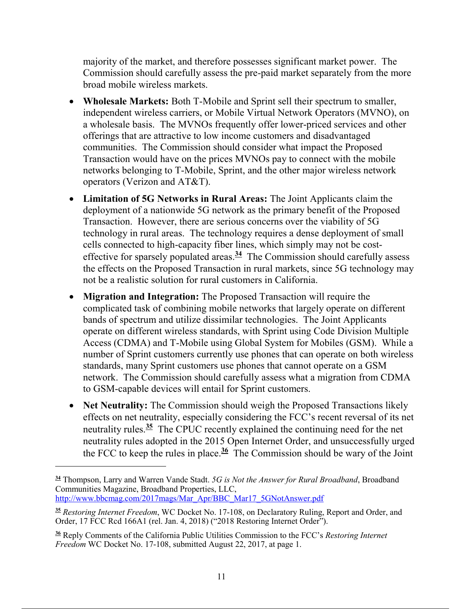majority of the market, and therefore possesses significant market power. The Commission should carefully assess the pre-paid market separately from the more broad mobile wireless markets.

- **Wholesale Markets:** Both T-Mobile and Sprint sell their spectrum to smaller, independent wireless carriers, or Mobile Virtual Network Operators (MVNO), on a wholesale basis. The MVNOs frequently offer lower-priced services and other offerings that are attractive to low income customers and disadvantaged communities. The Commission should consider what impact the Proposed Transaction would have on the prices MVNOs pay to connect with the mobile networks belonging to T-Mobile, Sprint, and the other major wireless network operators (Verizon and AT&T).
- **Limitation of 5G Networks in Rural Areas:** The Joint Applicants claim the deployment of a nationwide 5G network as the primary benefit of the Proposed Transaction. However, there are serious concerns over the viability of 5G technology in rural areas. The technology requires a dense deployment of small cells connected to high-capacity fiber lines, which simply may not be costeffective for sparsely populated areas.**<sup>34</sup>** The Commission should carefully assess the effects on the Proposed Transaction in rural markets, since 5G technology may not be a realistic solution for rural customers in California.
- **Migration and Integration:** The Proposed Transaction will require the complicated task of combining mobile networks that largely operate on different bands of spectrum and utilize dissimilar technologies. The Joint Applicants operate on different wireless standards, with Sprint using Code Division Multiple Access (CDMA) and T-Mobile using Global System for Mobiles (GSM). While a number of Sprint customers currently use phones that can operate on both wireless standards, many Sprint customers use phones that cannot operate on a GSM network. The Commission should carefully assess what a migration from CDMA to GSM-capable devices will entail for Sprint customers.
- **Net Neutrality:** The Commission should weigh the Proposed Transactions likely effects on net neutrality, especially considering the FCC's recent reversal of its net neutrality rules.**<sup>35</sup>** The CPUC recently explained the continuing need for the net neutrality rules adopted in the 2015 Open Internet Order, and unsuccessfully urged the FCC to keep the rules in place.<sup> $36$ </sup> The Commission should be wary of the Joint

**<sup>34</sup>** Thompson, Larry and Warren Vande Stadt. *5G is Not the Answer for Rural Broadband*, Broadband Communities Magazine, Broadband Properties, LLC, http://www.bbcmag.com/2017mags/Mar\_Apr/BBC\_Mar17\_5GNotAnswer.pdf

**<sup>35</sup>** *Restoring Internet Freedom*, WC Docket No. 17-108, on Declaratory Ruling, Report and Order, and Order, 17 FCC Rcd 166A1 (rel. Jan. 4, 2018) ("2018 Restoring Internet Order").

**<sup>36</sup>** Reply Comments of the California Public Utilities Commission to the FCC's *Restoring Internet Freedom* WC Docket No. 17-108, submitted August 22, 2017, at page 1.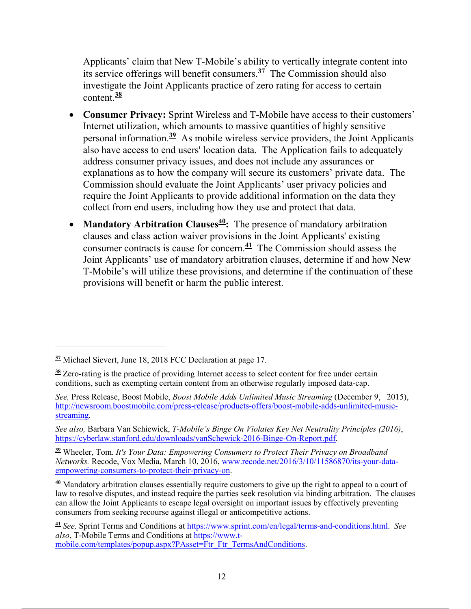Applicants' claim that New T-Mobile's ability to vertically integrate content into its service offerings will benefit consumers.**<sup>37</sup>** The Commission should also investigate the Joint Applicants practice of zero rating for access to certain content.**<sup>38</sup>**

- **Consumer Privacy:** Sprint Wireless and T-Mobile have access to their customers' Internet utilization, which amounts to massive quantities of highly sensitive personal information.**<sup>39</sup>** As mobile wireless service providers, the Joint Applicants also have access to end users' location data. The Application fails to adequately address consumer privacy issues, and does not include any assurances or explanations as to how the company will secure its customers' private data. The Commission should evaluate the Joint Applicants' user privacy policies and require the Joint Applicants to provide additional information on the data they collect from end users, including how they use and protect that data.
- **Mandatory Arbitration Clauses<sup>40</sup>:** The presence of mandatory arbitration clauses and class action waiver provisions in the Joint Applicants' existing consumer contracts is cause for concern.**<sup>41</sup>** The Commission should assess the Joint Applicants' use of mandatory arbitration clauses, determine if and how New T-Mobile's will utilize these provisions, and determine if the continuation of these provisions will benefit or harm the public interest.

**<sup>37</sup>** Michael Sievert, June 18, 2018 FCC Declaration at page 17.

**<sup>38</sup>** Zero-rating is the practice of providing Internet access to select content for free under certain conditions, such as exempting certain content from an otherwise regularly imposed data-cap.

*See,* Press Release, Boost Mobile, *Boost Mobile Adds Unlimited Music Streaming* (December 9, 2015), http://newsroom.boostmobile.com/press-release/products-offers/boost-mobile-adds-unlimited-musicstreaming.

*See also,* Barbara Van Schiewick, *T-Mobile's Binge On Violates Key Net Neutrality Principles (2016)*, https://cyberlaw.stanford.edu/downloads/vanSchewick-2016-Binge-On-Report.pdf.

**<sup>39</sup>** Wheeler, Tom. *It's Your Data: Empowering Consumers to Protect Their Privacy on Broadband Networks.* Recode, Vox Media, March 10, 2016, www.recode.net/2016/3/10/11586870/its-your-dataempowering-consumers-to-protect-their-privacy-on.

**<sup>40</sup>** Mandatory arbitration clauses essentially require customers to give up the right to appeal to a court of law to resolve disputes, and instead require the parties seek resolution via binding arbitration. The clauses can allow the Joint Applicants to escape legal oversight on important issues by effectively preventing consumers from seeking recourse against illegal or anticompetitive actions.

**<sup>41</sup>** *See,* Sprint Terms and Conditions at https://www.sprint.com/en/legal/terms-and-conditions.html. *See also*, T-Mobile Terms and Conditions at https://www.tmobile.com/templates/popup.aspx?PAsset=Ftr\_Ftr\_TermsAndConditions.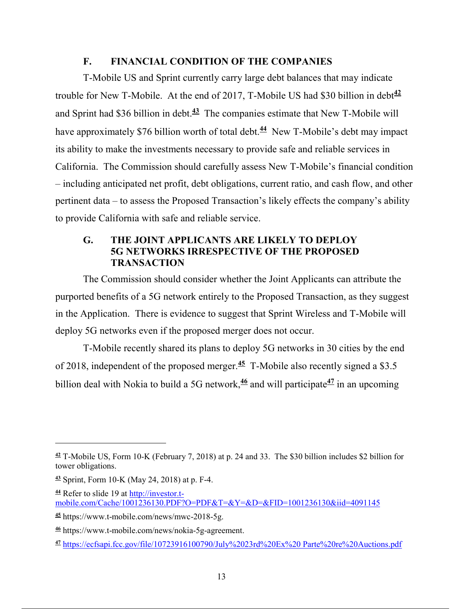# **F. FINANCIAL CONDITION OF THE COMPANIES**

T-Mobile US and Sprint currently carry large debt balances that may indicate trouble for New T-Mobile. At the end of 2017, T-Mobile US had \$30 billion in debt<sup>42</sup> and Sprint had \$36 billion in debt.**<sup>43</sup>** The companies estimate that New T-Mobile will have approximately \$76 billion worth of total debt.<sup>44</sup> New T-Mobile's debt may impact its ability to make the investments necessary to provide safe and reliable services in California. The Commission should carefully assess New T-Mobile's financial condition – including anticipated net profit, debt obligations, current ratio, and cash flow, and other pertinent data – to assess the Proposed Transaction's likely effects the company's ability to provide California with safe and reliable service.

### **G. THE JOINT APPLICANTS ARE LIKELY TO DEPLOY 5G NETWORKS IRRESPECTIVE OF THE PROPOSED TRANSACTION**

The Commission should consider whether the Joint Applicants can attribute the purported benefits of a 5G network entirely to the Proposed Transaction, as they suggest in the Application. There is evidence to suggest that Sprint Wireless and T-Mobile will deploy 5G networks even if the proposed merger does not occur.

T-Mobile recently shared its plans to deploy 5G networks in 30 cities by the end of 2018, independent of the proposed merger.**<sup>45</sup>** T-Mobile also recently signed a \$3.5 billion deal with Nokia to build a 5G network,**<sup>46</sup>** and will participate**<sup>47</sup>** in an upcoming

**<sup>42</sup>** T-Mobile US, Form 10-K (February 7, 2018) at p. 24 and 33. The \$30 billion includes \$2 billion for tower obligations.

**<sup>43</sup>** Sprint, Form 10-K (May 24, 2018) at p. F-4.

**<sup>44</sup>** Refer to slide 19 at http://investor.tmobile.com/Cache/1001236130.PDF?O=PDF&T=&Y=&D=&FID=1001236130&iid=4091145

**<sup>45</sup>** https://www.t-mobile.com/news/mwc-2018-5g.

**<sup>46</sup>** https://www.t-mobile.com/news/nokia-5g-agreement.

**<sup>47</sup>** https://ecfsapi.fcc.gov/file/10723916100790/July%2023rd%20Ex%20 Parte%20re%20Auctions.pdf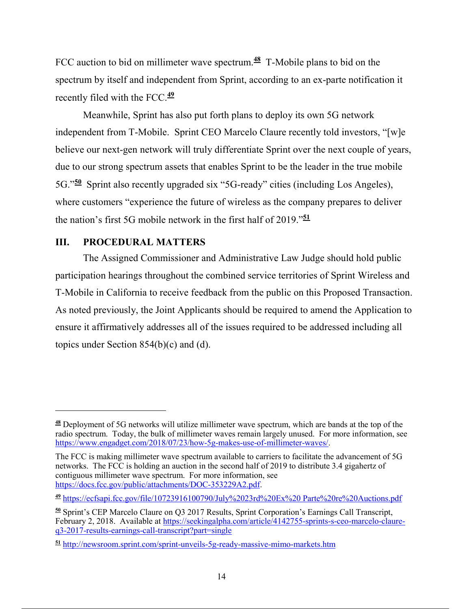FCC auction to bid on millimeter wave spectrum.**<sup>48</sup>** T-Mobile plans to bid on the spectrum by itself and independent from Sprint, according to an ex-parte notification it recently filed with the FCC.**<sup>49</sup>**

Meanwhile, Sprint has also put forth plans to deploy its own 5G network independent from T-Mobile. Sprint CEO Marcelo Claure recently told investors, "[w]e believe our next-gen network will truly differentiate Sprint over the next couple of years, due to our strong spectrum assets that enables Sprint to be the leader in the true mobile 5G."**<sup>50</sup>** Sprint also recently upgraded six "5G-ready" cities (including Los Angeles), where customers "experience the future of wireless as the company prepares to deliver the nation's first 5G mobile network in the first half of 2019."**<sup>51</sup>**

### **III. PROCEDURAL MATTERS**

 $\overline{a}$ 

The Assigned Commissioner and Administrative Law Judge should hold public participation hearings throughout the combined service territories of Sprint Wireless and T-Mobile in California to receive feedback from the public on this Proposed Transaction. As noted previously, the Joint Applicants should be required to amend the Application to ensure it affirmatively addresses all of the issues required to be addressed including all topics under Section 854(b)(c) and (d).

**<sup>48</sup>** Deployment of 5G networks will utilize millimeter wave spectrum, which are bands at the top of the radio spectrum. Today, the bulk of millimeter waves remain largely unused. For more information, see https://www.engadget.com/2018/07/23/how-5g-makes-use-of-millimeter-waves/.

The FCC is making millimeter wave spectrum available to carriers to facilitate the advancement of 5G networks. The FCC is holding an auction in the second half of 2019 to distribute 3.4 gigahertz of contiguous millimeter wave spectrum. For more information, see https://docs.fcc.gov/public/attachments/DOC-353229A2.pdf.

**<sup>49</sup>** https://ecfsapi.fcc.gov/file/10723916100790/July%2023rd%20Ex%20 Parte%20re%20Auctions.pdf

**<sup>50</sup>** Sprint's CEP Marcelo Claure on Q3 2017 Results, Sprint Corporation's Earnings Call Transcript, February 2, 2018. Available at https://seekingalpha.com/article/4142755-sprints-s-ceo-marcelo-claureq3-2017-results-earnings-call-transcript?part=single

**<sup>51</sup>** http://newsroom.sprint.com/sprint-unveils-5g-ready-massive-mimo-markets.htm